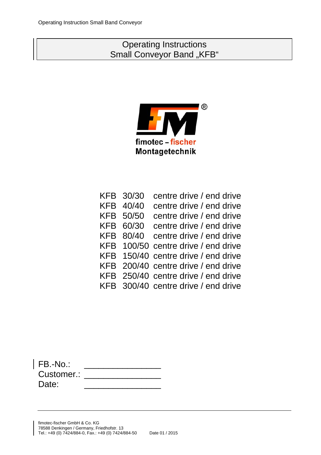# Operating Instructions Small Conveyor Band "KFB"



|            | KFB 30/30 centre drive / end drive  |
|------------|-------------------------------------|
| <b>KFB</b> | 40/40 centre drive / end drive      |
| KFB .      | 50/50 centre drive / end drive      |
|            | KFB 60/30 centre drive / end drive  |
|            | KFB 80/40 centre drive / end drive  |
|            | KFB 100/50 centre drive / end drive |
|            | KFB 150/40 centre drive / end drive |
|            | KFB 200/40 centre drive / end drive |
|            | KFB 250/40 centre drive / end drive |
|            | KFB 300/40 centre drive / end drive |

| $FB.-No.$  |  |
|------------|--|
| Customer.: |  |
| Date:      |  |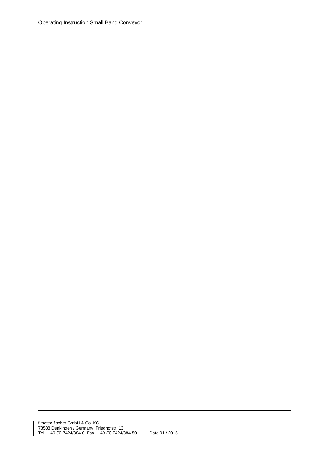Operating Instruction Small Band Conveyor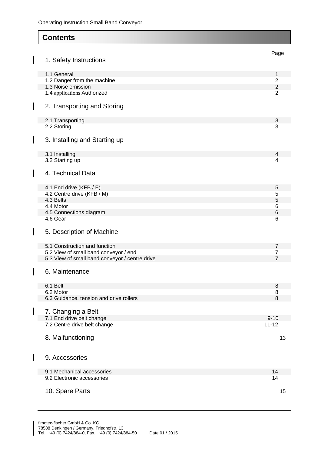# **Contents**

| 1. Safety Instructions                            | Page                |
|---------------------------------------------------|---------------------|
| 1.1 General                                       |                     |
|                                                   | 1<br>$\overline{2}$ |
| 1.2 Danger from the machine<br>1.3 Noise emission | $\overline{2}$      |
|                                                   |                     |
| 1.4 applications Authorized                       | $\overline{2}$      |
| 2. Transporting and Storing                       |                     |
| 2.1 Transporting                                  | 3                   |
| 2.2 Storing                                       | 3                   |
|                                                   |                     |
| 3. Installing and Starting up                     |                     |
|                                                   |                     |
| 3.1 Installing                                    | 4                   |
| 3.2 Starting up                                   | 4                   |
|                                                   |                     |
| 4. Technical Data                                 |                     |
|                                                   |                     |
|                                                   |                     |
| 4.1 End drive (KFB / E)                           | 5                   |
| 4.2 Centre drive (KFB / M)                        | 5                   |
| 4.3 Belts                                         | 5                   |
| 4.4 Motor                                         | 6                   |
| 4.5 Connections diagram                           | 6                   |
| 4.6 Gear                                          | 6                   |
| 5. Description of Machine                         |                     |
| 5.1 Construction and function                     | $\overline{7}$      |
| 5.2 View of small band conveyor / end             | 7                   |
| 5.3 View of small band conveyor / centre drive    | $\overline{7}$      |
| 6. Maintenance                                    |                     |
| 6.1 Belt                                          | 8                   |
| 6.2 Motor                                         | 8                   |
| 6.3 Guidance, tension and drive rollers           | 8                   |
|                                                   |                     |
| 7. Changing a Belt                                |                     |
|                                                   | $9 - 10$            |
| 7.1 End drive belt change                         | $11 - 12$           |
| 7.2 Centre drive belt change                      |                     |
|                                                   |                     |
| 8. Malfunctioning                                 | 13                  |
|                                                   |                     |
|                                                   |                     |
| 9. Accessories                                    |                     |
|                                                   |                     |
| 9.1 Mechanical accessories                        | 14                  |
| 9.2 Electronic accessories                        | 14                  |
|                                                   |                     |
| 10. Spare Parts                                   | 15                  |
|                                                   |                     |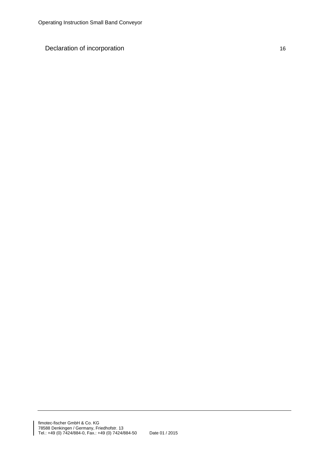Declaration of incorporation 16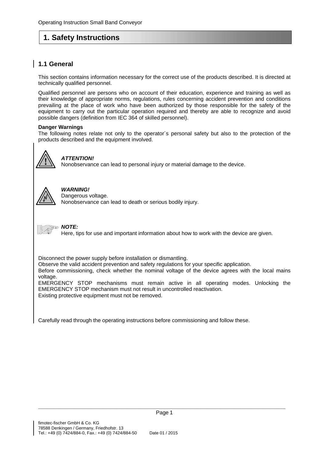# **1. Safety Instructions**

### **1.1 General**

This section contains information necessary for the correct use of the products described. It is directed at technically qualified personnel.

Qualified personnel are persons who on account of their education, experience and training as well as their knowledge of appropriate norms, regulations, rules concerning accident prevention and conditions prevailing at the place of work who have been authorized by those responsible for the safety of the equipment to carry out the particular operation required and thereby are able to recognize and avoid possible dangers (definition from IEC 364 of skilled personnel).

#### **Danger Warnings**

The following notes relate not only to the operator´s personal safety but also to the protection of the products described and the equipment involved.



### *ATTENTION!*

Nonobservance can lead to personal injury or material damage to the device.



#### *WARNING!*

Dangerous voltage. Nonobservance can lead to death or serious bodily injury.



*NOTE:*  Here, tips for use and important information about how to work with the device are given.

Disconnect the power supply before installation or dismantling.

Observe the valid accident prevention and safety regulations for your specific application.

Before commissioning, check whether the nominal voltage of the device agrees with the local mains voltage.

EMERGENCY STOP mechanisms must remain active in all operating modes. Unlocking the EMERGENCY STOP mechanism must not result in uncontrolled reactivation. Existing protective equipment must not be removed.

Carefully read through the operating instructions before commissioning and follow these.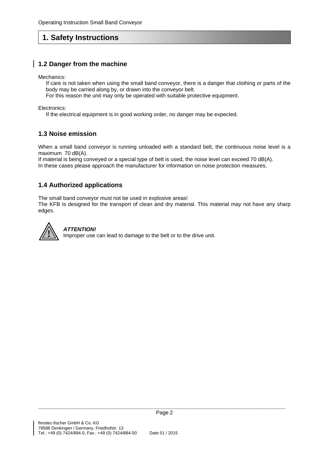# **1. Safety Instructions**

### **1.2 Danger from the machine**

Mechanics:

 If care is not taken when using the small band conveyor, there is a danger that clothing or parts of the body may be carried along by, or drawn into the conveyor belt.

For this reason the unit may only be operated with suitable protective equipment.

Electronics:

If the electrical equipment is in good working order, no danger may be expected.

### **1.3 Noise emission**

When a small band conveyor is running unloaded with a standard belt, the continuous noise level is a maximum 70 dB(A).

If material is being conveyed or a special type of belt is used, the noise level can exceed 70 dB(A). In these cases please approach the manufacturer for information on noise protection measures.

### **1.4 Authorized applications**

The small band conveyor must not be used in explosive areas!

The KFB is designed for the transport of clean and dry material. This material may not have any sharp edges.



#### *ATTENTION!*

Improper use can lead to damage to the belt or to the drive unit.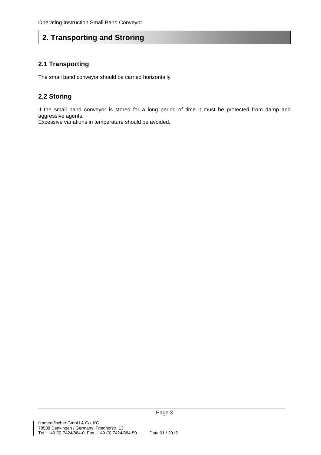# **2. Transporting and Stroring**

### **2.1 Transporting**

The small band conveyor should be carried horizontally

### **2.2 Storing**

If the small band conveyor is stored for a long period of time it must be protected from damp and aggressive agents.

Excessive variations in temperature should be avoided.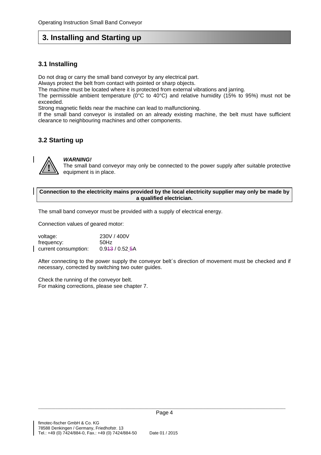# **3. Installing and Starting up**

### **3.1 Installing**

Do not drag or carry the small band conveyor by any electrical part.

Always protect the belt from contact with pointed or sharp objects.

The machine must be located where it is protected from external vibrations and jarring.

The permissible ambient temperature (0°C to 40°C) and relative humidity (15% to 95%) must not be exceeded.

Strong magnetic fields near the machine can lead to malfunctioning.

If the small band conveyor is installed on an already existing machine, the belt must have sufficient clearance to neighbouring machines and other components.

### **3.2 Starting up**



#### *WARNING!*

The small band conveyor may only be connected to the power supply after suitable protective equipment is in place.

**Connection to the electricity mains provided by the local electricity supplier may only be made by a qualified electrician.** 

The small band conveyor must be provided with a supply of electrical energy.

Connection values of geared motor:

| voltage:             | 230V / 400V       |
|----------------------|-------------------|
| frequency:           | 50Hz              |
| current consumption: | $0.943 / 0.52$ 5A |

After connecting to the power supply the conveyor belt´s direction of movement must be checked and if necessary, corrected by switching two outer guides.

Check the running of the conveyor belt. For making corrections, please see chapter 7.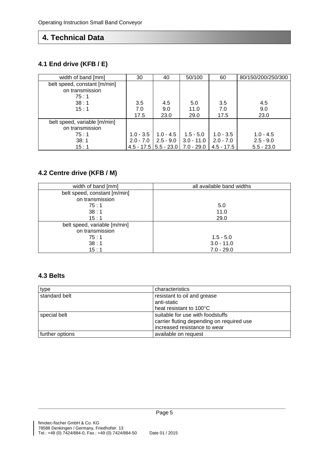# **4. Technical Data**

### **4.1 End drive (KFB / E)**

| width of band [mm]                              | 30          | 40                      | 50/100       | 60           | 80/150/200/250/300 |
|-------------------------------------------------|-------------|-------------------------|--------------|--------------|--------------------|
| belt speed, constant [m/min]<br>on transmission |             |                         |              |              |                    |
| 75:1                                            |             |                         |              |              |                    |
| 38:1                                            | 3.5         | 4.5                     | 5.0          | 3.5          | 4.5                |
| 15:1                                            | 7.0         | 9.0                     | 11.0         | 7.0          | 9.0                |
|                                                 | 17.5        | 23.0                    | 29.0         | 17.5         | 23.0               |
| belt speed, variable [m/min]                    |             |                         |              |              |                    |
| on transmission                                 |             |                         |              |              |                    |
| 75:1                                            | $1.0 - 3.5$ | $1.0 - 4.5$             | $1.5 - 5.0$  | $1.0 - 3.5$  | $1.0 - 4.5$        |
| 38:1                                            | $2.0 - 7.0$ | $2.5 - 9.0$             | $3.0 - 11.0$ | $2.0 - 7.0$  | $2.5 - 9.0$        |
| 15:1                                            |             | 4.5 - 17.5   5.5 - 23.0 | 7.0 - 29.0   | $4.5 - 17.5$ | $5.5 - 23.0$       |

### **4.2 Centre drive (KFB / M)**

| width of band [mm]           | all available band widths |
|------------------------------|---------------------------|
| belt speed, constant [m/min] |                           |
| on transmission              |                           |
| 75:1                         | 5.0                       |
| 38:1                         | 11.0                      |
| 15:1                         | 29.0                      |
| belt speed, variable [m/min] |                           |
| on transmission              |                           |
| 75:1                         | $1.5 - 5.0$               |
| 38:1                         | $3.0 - 11.0$              |
| 15:1                         | $7.0 - 29.0$              |

### **4.3 Belts**

| type            | characteristics                           |
|-----------------|-------------------------------------------|
| standard belt   | resistant to oil and grease               |
|                 | anti-static                               |
|                 | heat resistant to 100°C                   |
| special belt    | suitable for use with foodstuffs          |
|                 | carrier fluting depending on required use |
|                 | increased resistance to wear              |
| further options | available on request                      |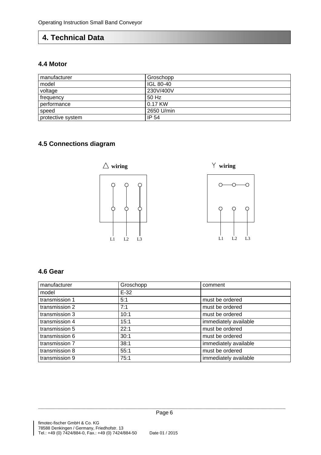# **4. Technical Data**

#### **4.4 Motor**

| manufacturer      | Groschopp        |
|-------------------|------------------|
| model             | <b>IGL 80-40</b> |
| voltage           | 230V/400V        |
| frequency         | 50 Hz            |
| performance       | 0.17 KW          |
| speed             | 2650 U/min       |
| protective system | IP 54            |

### **4.5 Connections diagram**





#### **4.6 Gear**

| manufacturer   | Groschopp | comment               |
|----------------|-----------|-----------------------|
| model          | $E-32$    |                       |
| transmission 1 | 5:1       | must be ordered       |
| transmission 2 | 7:1       | must be ordered       |
| transmission 3 | 10:1      | must be ordered       |
| transmission 4 | 15:1      | immediately available |
| transmission 5 | 22:1      | must be ordered       |
| transmission 6 | 30:1      | must be ordered       |
| transmission 7 | 38:1      | immediately available |
| transmission 8 | 55:1      | must be ordered       |
| transmission 9 | 75:1      | immediately available |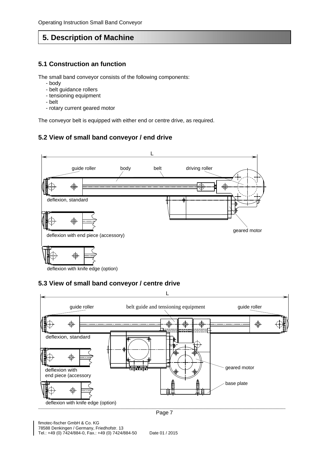# **5. Description of Machine**

### **5.1 Construction an function**

The small band conveyor consists of the following components:

- body
- belt guidance rollers
- tensioning equipment
- belt
- rotary current geared motor

The conveyor belt is equipped with either end or centre drive, as required.

### **5.2 View of small band conveyor / end drive**



#### **5.3 View of small band conveyor / centre drive**

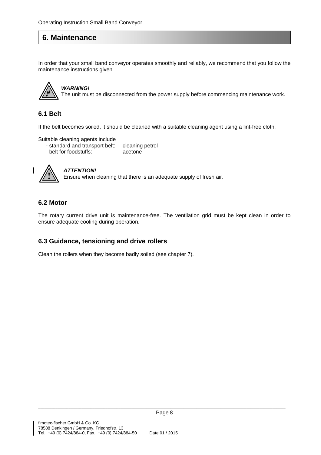## **6. Maintenance**

In order that your small band conveyor operates smoothly and reliably, we recommend that you follow the maintenance instructions given.



#### *WARNING!*

The unit must be disconnected from the power supply before commencing maintenance work.

#### **6.1 Belt**

If the belt becomes soiled, it should be cleaned with a suitable cleaning agent using a lint-free cloth.

Suitable cleaning agents include

- standard and transport belt: cleaning petrol
- belt for foodstuffs: acetone
- 



#### *ATTENTION!*

Ensure when cleaning that there is an adequate supply of fresh air.

#### **6.2 Motor**

The rotary current drive unit is maintenance-free. The ventilation grid must be kept clean in order to ensure adequate cooling during operation.

#### **6.3 Guidance, tensioning and drive rollers**

Clean the rollers when they become badly soiled (see chapter 7).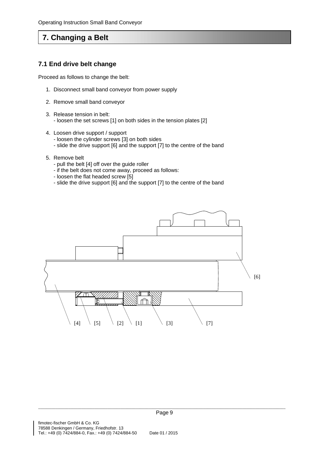### **7.1 End drive belt change**

Proceed as follows to change the belt:

- 1. Disconnect small band conveyor from power supply
- 2. Remove small band conveyor
- 3. Release tension in belt: - loosen the set screws [1] on both sides in the tension plates [2]
- 4. Loosen drive support / support
	- loosen the cylinder screws [3] on both sides
	- slide the drive support [6] and the support [7] to the centre of the band
- 5. Remove belt
	- pull the belt [4] off over the guide roller
	- if the belt does not come away, proceed as follows:
	- loosen the flat headed screw [5]
	- slide the drive support [6] and the support [7] to the centre of the band

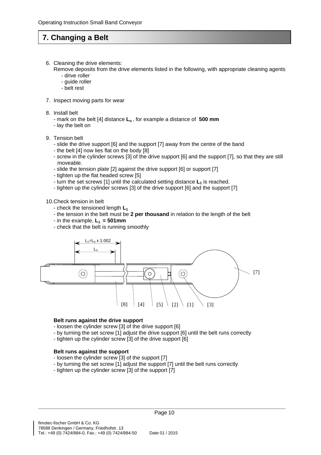6. Cleaning the drive elements:

Remove deposits from the drive elements listed in the following, with appropriate cleaning agents - drive roller

- guide roller
- belt rest
- 
- 7. Inspect moving parts for wear
- 8. Install belt
	- mark on the belt [4] distance **Lo** , for example a distance of **500 mm**
	- lay the belt on
- 9. Tension belt
	- slide the drive support [6] and the support [7] away from the centre of the band
	- the belt [4] now lies flat on the body [8]
	- screw in the cylinder screws [3] of the drive support [6] and the support [7], so that they are still moveable.
	- slide the tension plate [2] against the drive support [6] or support [7]
	- tighten up the flat headed screw [5]
	- turn the set screws  $[1]$  until the calculated setting distance  $L_1$  is reached.
	- tighten up the cylinder screws [3] of the drive support [6] and the support [7]

10. Check tension in belt

- check the tensioned length **L1**
- the tension in the belt must be **2 per thousand** in relation to the length of the belt
- $-$  in the example,  $L_1 = 501$  mm
- check that the belt is running smoothly



#### **Belt runs against the drive support**

- loosen the cylinder screw [3] of the drive support [6]
- by turning the set screw [1] adjust the drive support [6] until the belt runs correctly
- tighten up the cylinder screw [3] of the drive support [6]

#### **Belt runs against the support**

- loosen the cylinder screw [3] of the support [7]
- by turning the set screw [1] adjust the support [7] until the belt runs correctly
- tighten up the cylinder screw [3] of the support [7]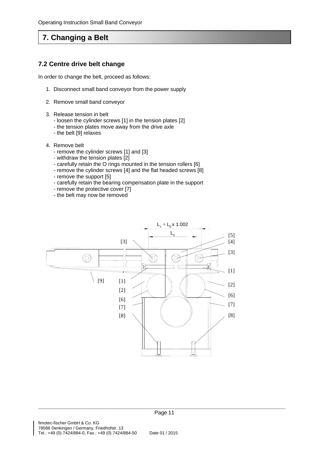#### **7.2 Centre drive belt change**

In order to change the belt, proceed as follows:

- 1. Disconnect small band conveyor from the power supply
- 2. Remove small band conveyor
- 3. Release tension in belt
	- loosen the cylinder screws [1] in the tension plates [2]
	- the tension plates move away from the drive axle
	- the belt [9] relaxes
- 4. Remove belt
	- remove the cylinder screws [1] and [3]
	- withdraw the tension plates [2]
	- carefully retain the O rings mounted in the tension rollers [6]
	- remove the cylinder screws [4] and the flat headed screws [8]
	- remove the support [5]
	- carefully retain the bearing compensation plate in the support
	- remove the protective cover [7]
	- the belt may now be removed

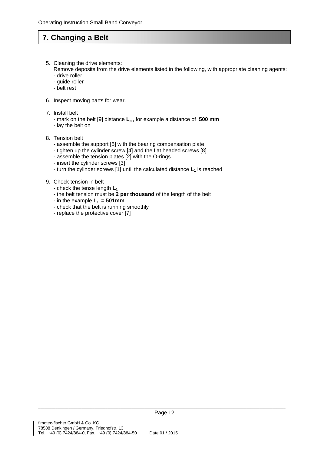5. Cleaning the drive elements:

Remove deposits from the drive elements listed in the following, with appropriate cleaning agents: - drive roller

- guide roller
- belt rest
- 
- 6. Inspect moving parts for wear.
- 7. Install belt
	- mark on the belt [9] distance **Lo** , for example a distance of **500 mm**
	- lay the belt on
- 8. Tension belt
	- assemble the support [5] with the bearing compensation plate
	- tighten up the cylinder screw [4] and the flat headed screws [8]
	- assemble the tension plates [2] with the O-rings
	- insert the cylinder screws [3]
	- turn the cylinder screws [1] until the calculated distance **L**<sub>1</sub> is reached
- 9. Check tension in belt
	- check the tense length **L1**
	- the belt tension must be **2 per thousand** of the length of the belt
	- $-$  in the example  $L_1 = 501$  mm
	- check that the belt is running smoothly
	- replace the protective cover [7]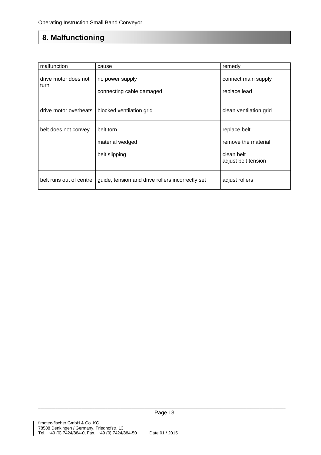# **8. Malfunctioning**

| malfunction                  | cause                                            | remedy                                                                   |
|------------------------------|--------------------------------------------------|--------------------------------------------------------------------------|
| drive motor does not<br>turn | no power supply<br>connecting cable damaged      | connect main supply<br>replace lead                                      |
| drive motor overheats        | blocked ventilation grid                         | clean ventilation grid                                                   |
| belt does not convey         | belt torn<br>material wedged<br>belt slipping    | replace belt<br>remove the material<br>clean belt<br>adjust belt tension |
| belt runs out of centre      | guide, tension and drive rollers incorrectly set | adjust rollers                                                           |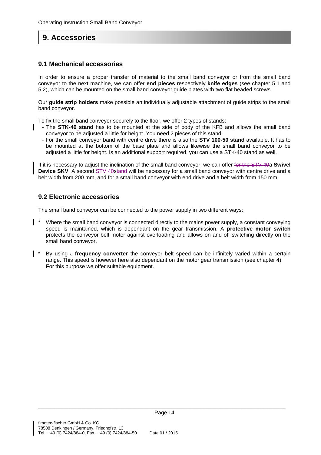# **9. Accessories**

#### **9.1 Mechanical accessories**

In order to ensure a proper transfer of material to the small band conveyor or from the small band conveyor to the next machine, we can offer **end pieces** respectively **knife edges** (see chapter 5.1 and 5.2), which can be mounted on the small band conveyor guide plates with two flat headed screws.

Our **guide strip holders** make possible an individually adjustable attachment of guide strips to the small band conveyor.

To fix the small band conveyor securely to the floor, we offer 2 types of stands:

- The **STK-40 stand** has to be mounted at the side of body of the KFB and allows the small band conveyor to be adjusted a little for height. You need 2 pieces of this stand.
- For the small conveyor band with centre drive there is also the **STV 100-50 stand** available. It has to be mounted at the bottom of the base plate and allows likewise the small band conveyor to be adjusted a little for height. Is an additional support required, you can use a STK-40 stand as well.

If it is necessary to adjust the inclination of the small band conveyor, we can offer for the STV 40a **Swivel Device SKV.** A second STV 40stand will be necessary for a small band conveyor with centre drive and a belt width from 200 mm, and for a small band conveyor with end drive and a belt width from 150 mm.

#### **9.2 Electronic accessories**

The small band conveyor can be connected to the power supply in two different ways:

- Where the small band conveyor is connected directly to the mains power supply, a constant conveying speed is maintained, which is dependant on the gear transmission. A **protective motor switch** protects the conveyor belt motor against overloading and allows on and off switching directly on the small band conveyor.
- By using a **frequency converter** the conveyor belt speed can be infinitely varied within a certain range. This speed is however here also dependant on the motor gear transmission (see chapter 4). For this purpose we offer suitable equipment.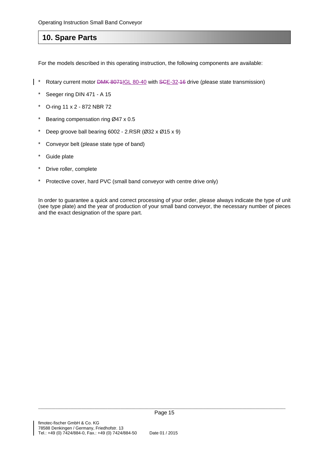# **10. Spare Parts**

For the models described in this operating instruction, the following components are available:

- \* Rotary current motor DMK 8071IGL 80-40 with SCE-32-16 drive (please state transmission)
- Seeger ring DIN 471 A 15
- O-ring 11 x 2 872 NBR 72
- Bearing compensation ring  $\varnothing$ 47 x 0.5
- Deep groove ball bearing 6002 2.RSR ( $\emptyset$ 32 x  $\emptyset$ 15 x 9)
- Conveyor belt (please state type of band)
- **Guide plate**
- Drive roller, complete
- Protective cover, hard PVC (small band conveyor with centre drive only)

In order to guarantee a quick and correct processing of your order, please always indicate the type of unit (see type plate) and the year of production of your small band conveyor, the necessary number of pieces and the exact designation of the spare part.